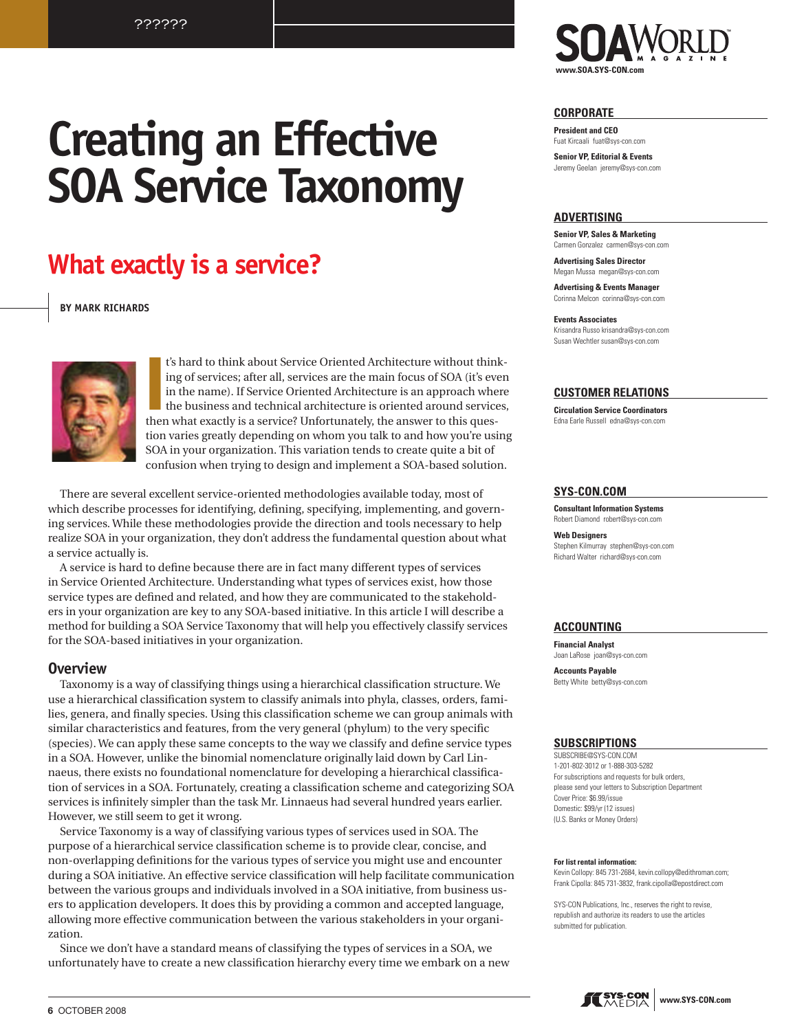# **Creating an Effective SOA Service Taxonomy**

# What exactly is a service?

**BY MARK RICHARDS** 



t's hard to think about Service Oriented Architecture without thinking of services; after all, services are the main focus of SOA (it's even in the name). If Service Oriented Architecture is an approach where the business and technical architecture is oriented around services, then what exactly is a service? Unfortunately, the answer to this question varies greatly depending on whom you talk to and how you're using SOA in your organization. This variation tends to create quite a bit of confusion when trying to design and implement a SOA-based solution.

There are several excellent service-oriented methodologies available today, most of which describe processes for identifying, defining, specifying, implementing, and governing services. While these methodologies provide the direction and tools necessary to help realize SOA in your organization, they don't address the fundamental question about what a service actually is.

A service is hard to define because there are in fact many different types of services in Service Oriented Architecture. Understanding what types of services exist, how those service types are defined and related, and how they are communicated to the stakeholders in your organization are key to any SOA-based initiative. In this article I will describe a method for building a SOA Service Taxonomy that will help you effectively classify services for the SOA-based initiatives in your organization.

# **Overview**

Taxonomy is a way of classifying things using a hierarchical classification structure. We use a hierarchical classification system to classify animals into phyla, classes, orders, families, genera, and finally species. Using this classification scheme we can group animals with similar characteristics and features, from the very general (phylum) to the very specific (species). We can apply these same concepts to the way we classify and define service types in a SOA. However, unlike the binomial nomenclature originally laid down by Carl Linnaeus, there exists no foundational nomenclature for developing a hierarchical classification of services in a SOA. Fortunately, creating a classification scheme and categorizing SOA services is infinitely simpler than the task Mr. Linnaeus had several hundred years earlier. However, we still seem to get it wrong.

Service Taxonomy is a way of classifying various types of services used in SOA. The purpose of a hierarchical service classification scheme is to provide clear, concise, and non-overlapping definitions for the various types of service you might use and encounter during a SOA initiative. An effective service classification will help facilitate communication between the various groups and individuals involved in a SOA initiative, from business users to application developers. It does this by providing a common and accepted language, allowing more effective communication between the various stakeholders in your organization.

Since we don't have a standard means of classifying the types of services in a SOA, we unfortunately have to create a new classification hierarchy every time we embark on a new



#### **CORPORATE**

**President and CEO** Fuat Kircaali fuat@sys-con.com

**Senior VP. Editorial & Events** Jeremy Geelan ieremy@sys-con.com

#### **ADVERTISING**

**Senior VP, Sales & Marketing** Carmen Gonzalez carmen@sys-con.com

**Advertising Sales Director** Megan Mussa megan@sys-con.com

**Advertising & Events Manager** Corinna Melcon corinna@sys-con.com

**Events Associates** Krisandra Russo krisandra@sys-con.com Susan Wechtler susan@sys-con.com

### **CUSTOMER RELATIONS**

**Circulation Service Coordinators** Edna Earle Bussell, edna@sys-con.com

### SYS-CON.COM

**Consultant Information Systems** Robert Diamond robert@sys-con.com

**Web Designers** Stephen Kilmurray stephen@sys-con.com Richard Walter richard@svs-con.com

#### **ACCOUNTING**

**Financial Analyst** Joan LaRose joan@sys-con.com

**Accounts Pavable** Betty White betty@sys-con.com

#### **SUBSCRIPTIONS**

SUBSCRIBE@SYS-CON.COM 1-201-802-3012 or 1-888-303-5282 For subscriptions and requests for bulk orders. please send your letters to Subscription Department Cover Price: \$6.99/issue Domestic: \$99/vr (12 issues) (U.S. Banks or Money Orders)

#### For list rental information:

Kevin Collopy: 845 731-2684, kevin.collopy@edithroman.com; Frank Cipolla: 845 731-3832, frank.cipolla@epostdirect.com

SYS-CON Publications, Inc., reserves the right to revise, republish and authorize its readers to use the articles submitted for publication.

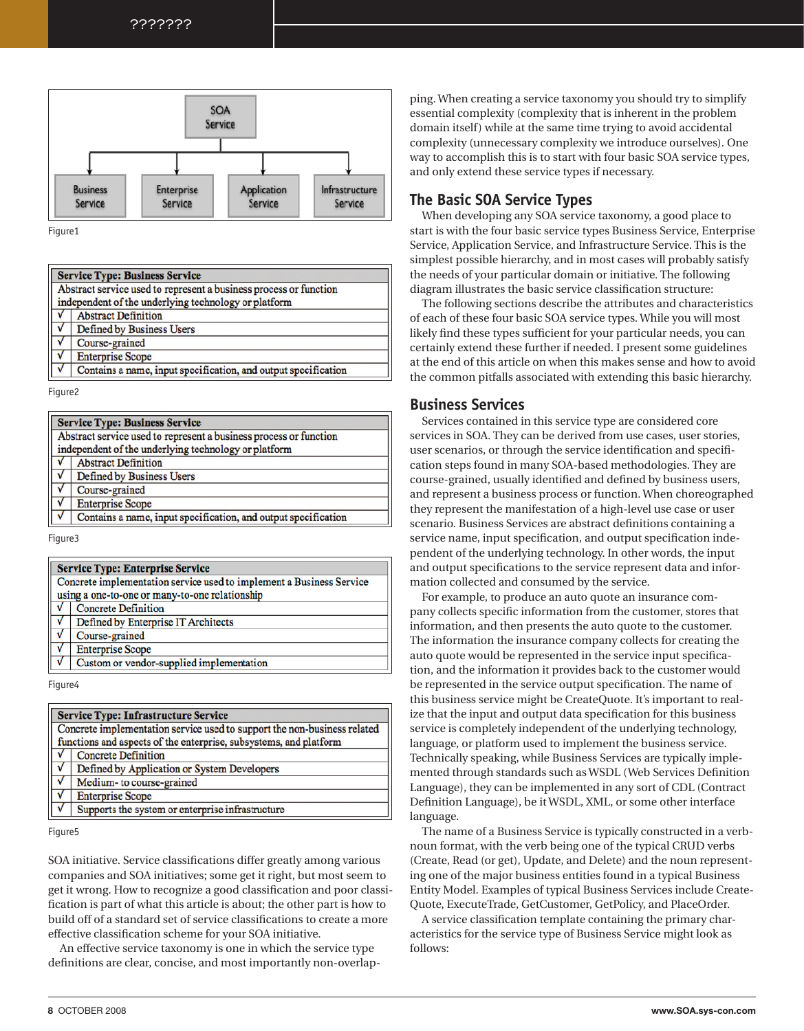???????



Figure1

| <b>Service Type: Business Service</b> |                                                                   |  |
|---------------------------------------|-------------------------------------------------------------------|--|
|                                       | Abstract service used to represent a business process or function |  |
|                                       | independent of the underlying technology or platform              |  |
|                                       | <b>Abstract Definition</b>                                        |  |
|                                       | Defined by Business Users                                         |  |
|                                       | Course-grained                                                    |  |
| $\frac{1}{\sqrt{2}}$                  | <b>Enterprise Scope</b>                                           |  |
|                                       | Contains a name, input specification, and output specification    |  |

Figure2

| <b>Service Type: Business Service</b>                             |                                                                |  |
|-------------------------------------------------------------------|----------------------------------------------------------------|--|
| Abstract service used to represent a business process or function |                                                                |  |
|                                                                   | independent of the underlying technology or platform           |  |
|                                                                   | <b>Abstract Definition</b>                                     |  |
|                                                                   | Defined by Business Users                                      |  |
| ٧                                                                 | Course-grained                                                 |  |
| ٧                                                                 | <b>Enterprise Scope</b>                                        |  |
|                                                                   | Contains a name, input specification, and output specification |  |
|                                                                   |                                                                |  |

Figure3

|                                                | <b>Service Type: Enterprise Service</b>                              |  |  |
|------------------------------------------------|----------------------------------------------------------------------|--|--|
|                                                | Concrete implementation service used to implement a Business Service |  |  |
| using a one-to-one or many-to-one relationship |                                                                      |  |  |
|                                                | <b>Concrete Definition</b>                                           |  |  |
|                                                | Defined by Enterprise IT Architects                                  |  |  |
| $\sqrt{ }$                                     | Course-grained                                                       |  |  |
|                                                | <b>Enterprise Scope</b>                                              |  |  |
|                                                | Custom or vendor-supplied implementation                             |  |  |
|                                                |                                                                      |  |  |

Figure4

|                                                                   | <b>Service Type: Infrastructure Service</b>                              |  |  |
|-------------------------------------------------------------------|--------------------------------------------------------------------------|--|--|
|                                                                   | Concrete implementation service used to support the non-business related |  |  |
| functions and aspects of the enterprise, subsystems, and platform |                                                                          |  |  |
|                                                                   | <b>Concrete Definition</b>                                               |  |  |
| $\sqrt{\frac{v}{v}}$                                              | Defined by Application or System Developers                              |  |  |
|                                                                   | Medium- to course-grained                                                |  |  |
| $\frac{1}{\sqrt{2}}$                                              | <b>Enterprise Scope</b>                                                  |  |  |
|                                                                   | Supports the system or enterprise infrastructure                         |  |  |

Figure<sub>5</sub>

SOA initiative. Service classifications differ greatly among various companies and SOA initiatives; some get it right, but most seem to get it wrong. How to recognize a good classification and poor classification is part of what this article is about; the other part is how to build off of a standard set of service classifications to create a more effective classification scheme for your SOA initiative.

An effective service taxonomy is one in which the service type definitions are clear, concise, and most importantly non-overlapping. When creating a service taxonomy you should try to simplify essential complexity (complexity that is inherent in the problem domain itself) while at the same time trying to avoid accidental complexity (unnecessary complexity we introduce ourselves). One way to accomplish this is to start with four basic SOA service types, and only extend these service types if necessary.

# **The Basic SOA Service Types**

When developing any SOA service taxonomy, a good place to start is with the four basic service types Business Service, Enterprise Service, Application Service, and Infrastructure Service. This is the simplest possible hierarchy, and in most cases will probably satisfy the needs of your particular domain or initiative. The following diagram illustrates the basic service classification structure:

The following sections describe the attributes and characteristics of each of these four basic SOA service types. While you will most likely find these types sufficient for your particular needs, you can certainly extend these further if needed. I present some guidelines at the end of this article on when this makes sense and how to avoid the common pitfalls associated with extending this basic hierarchy.

# **Business Services**

Services contained in this service type are considered core services in SOA. They can be derived from use cases, user stories, user scenarios, or through the service identification and specification steps found in many SOA-based methodologies. They are course-grained, usually identified and defined by business users, and represent a business process or function. When choreographed they represent the manifestation of a high-level use case or user scenario. Business Services are abstract definitions containing a service name, input specification, and output specification independent of the underlying technology. In other words, the input and output specifications to the service represent data and information collected and consumed by the service.

For example, to produce an auto quote an insurance company collects specific information from the customer, stores that information, and then presents the auto quote to the customer. The information the insurance company collects for creating the auto quote would be represented in the service input specification, and the information it provides back to the customer would be represented in the service output specification. The name of this business service might be CreateQuote. It's important to realize that the input and output data specification for this business service is completely independent of the underlying technology, language, or platform used to implement the business service. Technically speaking, while Business Services are typically implemented through standards such as WSDL (Web Services Definition Language), they can be implemented in any sort of CDL (Contract Definition Language), be it WSDL, XML, or some other interface language.

The name of a Business Service is typically constructed in a verbnoun format, with the verb being one of the typical CRUD verbs (Create, Read (or get), Update, and Delete) and the noun representing one of the major business entities found in a typical Business Entity Model. Examples of typical Business Services include Create-Quote, ExecuteTrade, GetCustomer, GetPolicy, and PlaceOrder.

A service classification template containing the primary characteristics for the service type of Business Service might look as follows: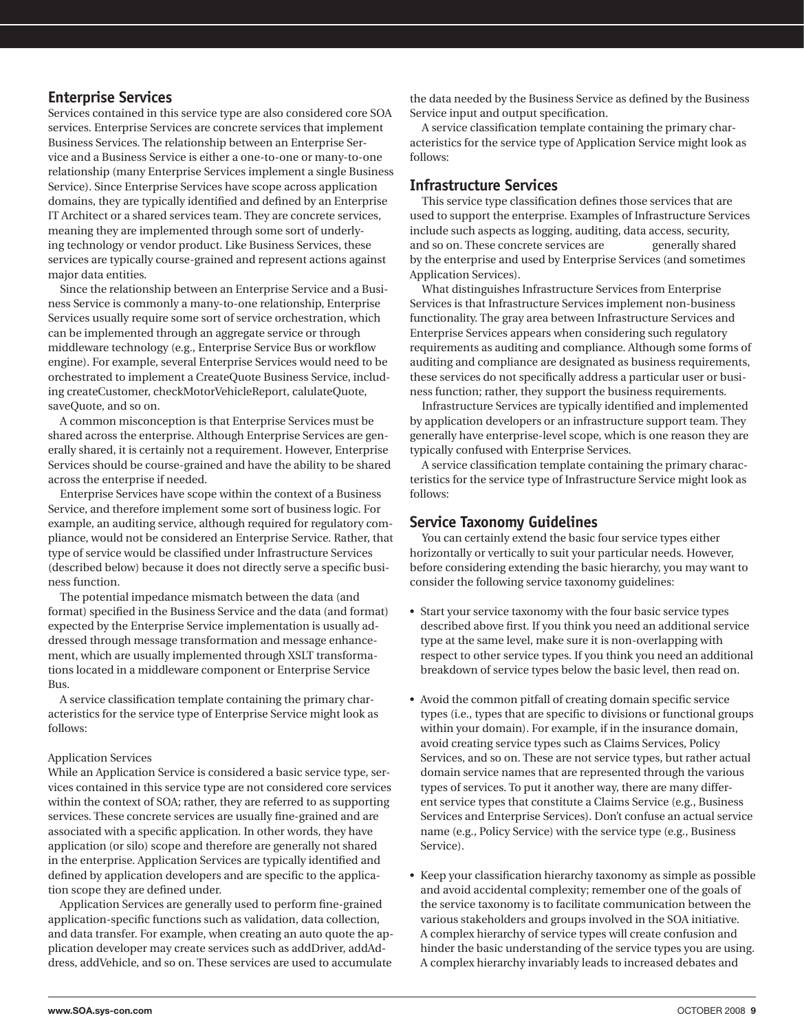# **Enterprise Services**

Services contained in this service type are also considered core SOA services. Enterprise Services are concrete services that implement Business Services. The relationship between an Enterprise Service and a Business Service is either a one-to-one or many-to-one relationship (many Enterprise Services implement a single Business Service). Since Enterprise Services have scope across application domains, they are typically identified and defined by an Enterprise IT Architect or a shared services team. They are concrete services, meaning they are implemented through some sort of underlying technology or vendor product. Like Business Services, these services are typically course-grained and represent actions against major data entities.

Since the relationship between an Enterprise Service and a Business Service is commonly a many-to-one relationship, Enterprise Services usually require some sort of service orchestration, which can be implemented through an aggregate service or through middleware technology (e.g., Enterprise Service Bus or workflow engine). For example, several Enterprise Services would need to be orchestrated to implement a CreateQuote Business Service, including createCustomer, checkMotorVehicleReport, calulateQuote, saveOuote, and so on.

A common misconception is that Enterprise Services must be shared across the enterprise. Although Enterprise Services are generally shared, it is certainly not a requirement. However, Enterprise Services should be course-grained and have the ability to be shared across the enterprise if needed.

Enterprise Services have scope within the context of a Business Service, and therefore implement some sort of business logic. For example, an auditing service, although required for regulatory compliance, would not be considered an Enterprise Service. Rather, that type of service would be classified under Infrastructure Services (described below) because it does not directly serve a specific business function.

The potential impedance mismatch between the data (and format) specified in the Business Service and the data (and format) expected by the Enterprise Service implementation is usually addressed through message transformation and message enhancement, which are usually implemented through XSLT transformations located in a middleware component or Enterprise Service  $R<sub>11S</sub>$ 

A service classification template containing the primary characteristics for the service type of Enterprise Service might look as  $follows$ 

# **Application Services**

While an Application Service is considered a basic service type, services contained in this service type are not considered core services within the context of SOA; rather, they are referred to as supporting services. These concrete services are usually fine-grained and are associated with a specific application. In other words, they have application (or silo) scope and therefore are generally not shared in the enterprise. Application Services are typically identified and defined by application developers and are specific to the application scope they are defined under.

Application Services are generally used to perform fine-grained application-specific functions such as validation, data collection, and data transfer. For example, when creating an auto quote the application developer may create services such as addDriver, addAddress, addVehicle, and so on. These services are used to accumulate

the data needed by the Business Service as defined by the Business Service input and output specification.

A service classification template containing the primary characteristics for the service type of Application Service might look as follows:

# **Infrastructure Services**

This service type classification defines those services that are used to support the enterprise. Examples of Infrastructure Services include such aspects as logging, auditing, data access, security, and so on. These concrete services are generally shared by the enterprise and used by Enterprise Services (and sometimes Application Services).

What distinguishes Infrastructure Services from Enterprise Services is that Infrastructure Services implement non-business functionality. The gray area between Infrastructure Services and Enterprise Services appears when considering such regulatory requirements as auditing and compliance. Although some forms of auditing and compliance are designated as business requirements, these services do not specifically address a particular user or business function; rather, they support the business requirements.

Infrastructure Services are typically identified and implemented by application developers or an infrastructure support team. They generally have enterprise-level scope, which is one reason they are typically confused with Enterprise Services.

A service classification template containing the primary characteristics for the service type of Infrastructure Service might look as follows:

# **Service Taxonomy Guidelines**

You can certainly extend the basic four service types either horizontally or vertically to suit your particular needs. However, before considering extending the basic hierarchy, you may want to consider the following service taxonomy guidelines:

- Start your service taxonomy with the four basic service types described above first. If you think you need an additional service type at the same level, make sure it is non-overlapping with respect to other service types. If you think you need an additional breakdown of service types below the basic level, then read on.
- Avoid the common pitfall of creating domain specific service types (i.e., types that are specific to divisions or functional groups within your domain). For example, if in the insurance domain, avoid creating service types such as Claims Services, Policy Services, and so on. These are not service types, but rather actual domain service names that are represented through the various types of services. To put it another way, there are many different service types that constitute a Claims Service (e.g., Business Services and Enterprise Services). Don't confuse an actual service name (e.g., Policy Service) with the service type (e.g., Business Service).
- Keep your classification hierarchy taxonomy as simple as possible and avoid accidental complexity; remember one of the goals of the service taxonomy is to facilitate communication between the various stakeholders and groups involved in the SOA initiative. A complex hierarchy of service types will create confusion and hinder the basic understanding of the service types you are using. A complex hierarchy invariably leads to increased debates and